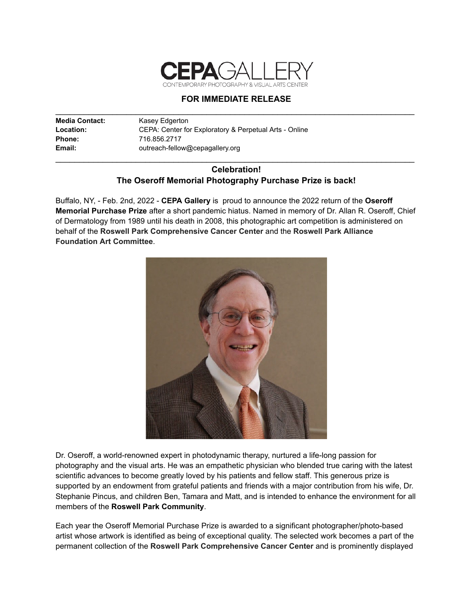

## **FOR IMMEDIATE RELEASE** \_\_\_\_\_\_\_\_\_\_\_\_\_\_\_\_\_\_\_\_\_\_\_\_\_\_\_\_\_\_\_\_\_\_\_\_\_\_\_\_\_\_\_\_\_\_\_\_\_\_\_\_\_\_\_\_\_\_\_\_\_\_\_\_\_\_\_\_\_\_\_\_\_\_\_\_

| <b>Media Contact:</b> | Kasey Edgerton                                         |
|-----------------------|--------------------------------------------------------|
| <b>Location:</b>      | CEPA: Center for Exploratory & Perpetual Arts - Online |
| Phone:                | 716.856.2717                                           |
| Email:                | outreach-fellow@cepagallery.org                        |

## **Celebration! The Oseroff Memorial Photography Purchase Prize is back!**

\_\_\_\_\_\_\_\_\_\_\_\_\_\_\_\_\_\_\_\_\_\_\_\_\_\_\_\_\_\_\_\_\_\_\_\_\_\_\_\_\_\_\_\_\_\_\_\_\_\_\_\_\_\_\_\_\_\_\_\_\_\_\_\_\_\_\_\_\_\_\_\_\_\_\_\_

Buffalo, NY, - Feb. 2nd, 2022 - **CEPA Gallery** is proud to announce the 2022 return of the **Oseroff Memorial Purchase Prize** after a short pandemic hiatus. Named in memory of Dr. Allan R. Oseroff, Chief of Dermatology from 1989 until his death in 2008, this photographic art competition is administered on behalf of the **Roswell Park Comprehensive Cancer Center** and the **Roswell Park Alliance Foundation Art Committee**.



Dr. Oseroff, a world-renowned expert in photodynamic therapy, nurtured a life-long passion for photography and the visual arts. He was an empathetic physician who blended true caring with the latest scientific advances to become greatly loved by his patients and fellow staff. This generous prize is supported by an endowment from grateful patients and friends with a major contribution from his wife, Dr. Stephanie Pincus, and children Ben, Tamara and Matt, and is intended to enhance the environment for all members of the **Roswell Park Community**.

Each year the Oseroff Memorial Purchase Prize is awarded to a significant photographer/photo-based artist whose artwork is identified as being of exceptional quality. The selected work becomes a part of the permanent collection of the **Roswell Park Comprehensive Cancer Center** and is prominently displayed